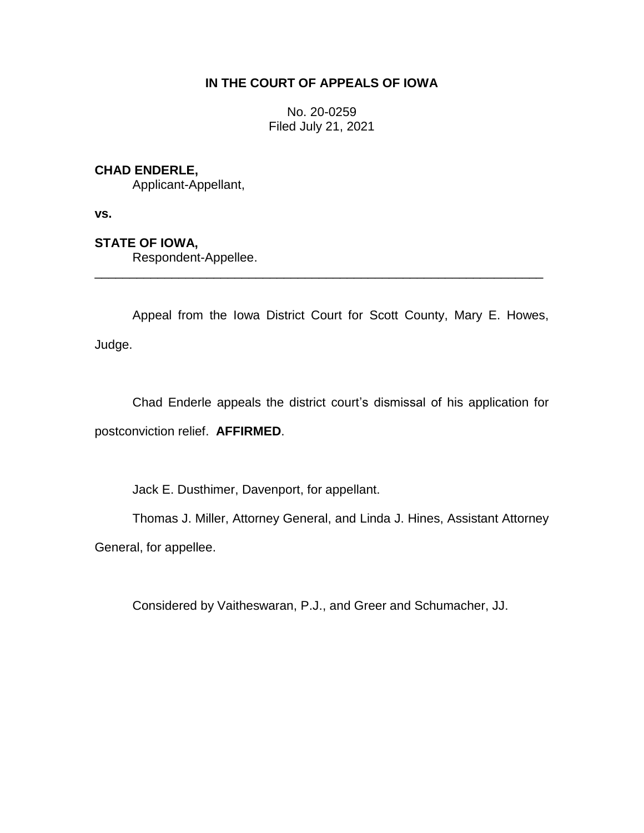# **IN THE COURT OF APPEALS OF IOWA**

No. 20-0259 Filed July 21, 2021

# **CHAD ENDERLE,**

Applicant-Appellant,

**vs.**

# **STATE OF IOWA,**

Respondent-Appellee.

Appeal from the Iowa District Court for Scott County, Mary E. Howes, Judge.

\_\_\_\_\_\_\_\_\_\_\_\_\_\_\_\_\_\_\_\_\_\_\_\_\_\_\_\_\_\_\_\_\_\_\_\_\_\_\_\_\_\_\_\_\_\_\_\_\_\_\_\_\_\_\_\_\_\_\_\_\_\_\_\_

Chad Enderle appeals the district court's dismissal of his application for postconviction relief. **AFFIRMED**.

Jack E. Dusthimer, Davenport, for appellant.

Thomas J. Miller, Attorney General, and Linda J. Hines, Assistant Attorney General, for appellee.

Considered by Vaitheswaran, P.J., and Greer and Schumacher, JJ.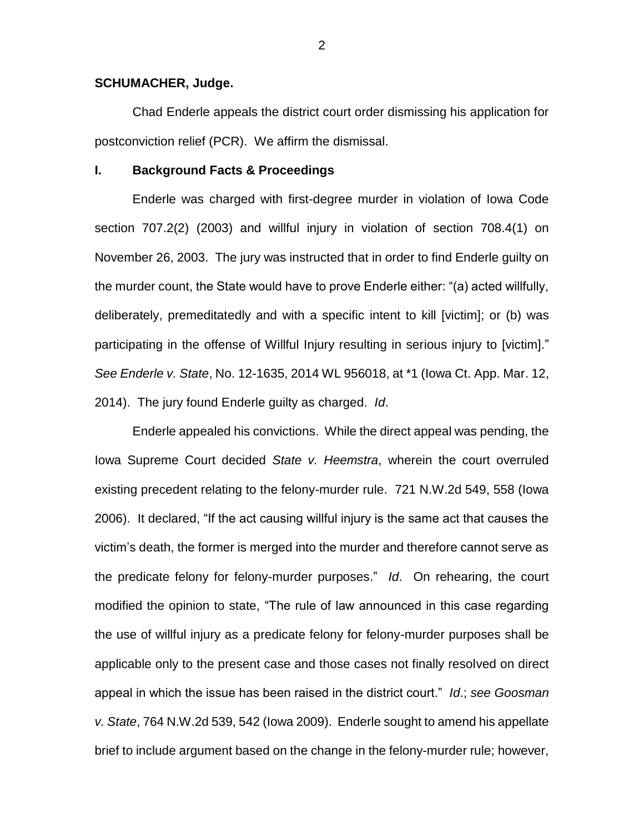### **SCHUMACHER, Judge.**

Chad Enderle appeals the district court order dismissing his application for postconviction relief (PCR). We affirm the dismissal.

#### **I. Background Facts & Proceedings**

Enderle was charged with first-degree murder in violation of Iowa Code section 707.2(2) (2003) and willful injury in violation of section 708.4(1) on November 26, 2003. The jury was instructed that in order to find Enderle guilty on the murder count, the State would have to prove Enderle either: "(a) acted willfully, deliberately, premeditatedly and with a specific intent to kill [victim]; or (b) was participating in the offense of Willful Injury resulting in serious injury to [victim]." *See Enderle v. State*, No. 12-1635, 2014 WL 956018, at \*1 (Iowa Ct. App. Mar. 12, 2014). The jury found Enderle guilty as charged. *Id*.

Enderle appealed his convictions. While the direct appeal was pending, the Iowa Supreme Court decided *State v. Heemstra*, wherein the court overruled existing precedent relating to the felony-murder rule. 721 N.W.2d 549, 558 (Iowa 2006). It declared, "If the act causing willful injury is the same act that causes the victim's death, the former is merged into the murder and therefore cannot serve as the predicate felony for felony-murder purposes." *Id*. On rehearing, the court modified the opinion to state, "The rule of law announced in this case regarding the use of willful injury as a predicate felony for felony-murder purposes shall be applicable only to the present case and those cases not finally resolved on direct appeal in which the issue has been raised in the district court." *Id*.; *see Goosman v. State*, 764 N.W.2d 539, 542 (Iowa 2009). Enderle sought to amend his appellate brief to include argument based on the change in the felony-murder rule; however,

2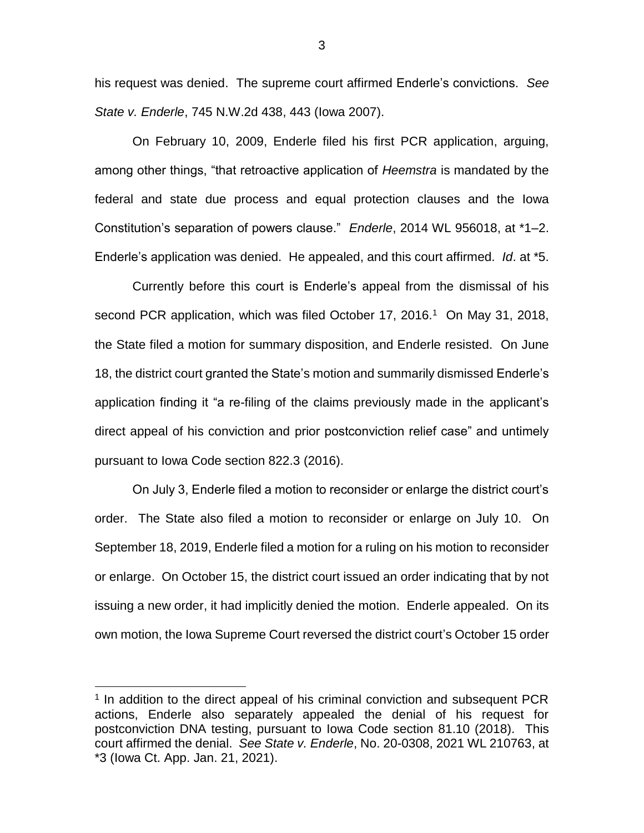his request was denied. The supreme court affirmed Enderle's convictions. *See State v. Enderle*, 745 N.W.2d 438, 443 (Iowa 2007).

On February 10, 2009, Enderle filed his first PCR application, arguing, among other things, "that retroactive application of *Heemstra* is mandated by the federal and state due process and equal protection clauses and the Iowa Constitution's separation of powers clause." *Enderle*, 2014 WL 956018, at \*1–2. Enderle's application was denied. He appealed, and this court affirmed. *Id*. at \*5.

Currently before this court is Enderle's appeal from the dismissal of his second PCR application, which was filed October 17, 2016.<sup>1</sup> On May 31, 2018, the State filed a motion for summary disposition, and Enderle resisted. On June 18, the district court granted the State's motion and summarily dismissed Enderle's application finding it "a re-filing of the claims previously made in the applicant's direct appeal of his conviction and prior postconviction relief case" and untimely pursuant to Iowa Code section 822.3 (2016).

On July 3, Enderle filed a motion to reconsider or enlarge the district court's order. The State also filed a motion to reconsider or enlarge on July 10. On September 18, 2019, Enderle filed a motion for a ruling on his motion to reconsider or enlarge. On October 15, the district court issued an order indicating that by not issuing a new order, it had implicitly denied the motion. Enderle appealed. On its own motion, the Iowa Supreme Court reversed the district court's October 15 order

 $\overline{a}$ 

<sup>&</sup>lt;sup>1</sup> In addition to the direct appeal of his criminal conviction and subsequent PCR actions, Enderle also separately appealed the denial of his request for postconviction DNA testing, pursuant to Iowa Code section 81.10 (2018). This court affirmed the denial. *See State v. Enderle*, No. 20-0308, 2021 WL 210763, at \*3 (Iowa Ct. App. Jan. 21, 2021).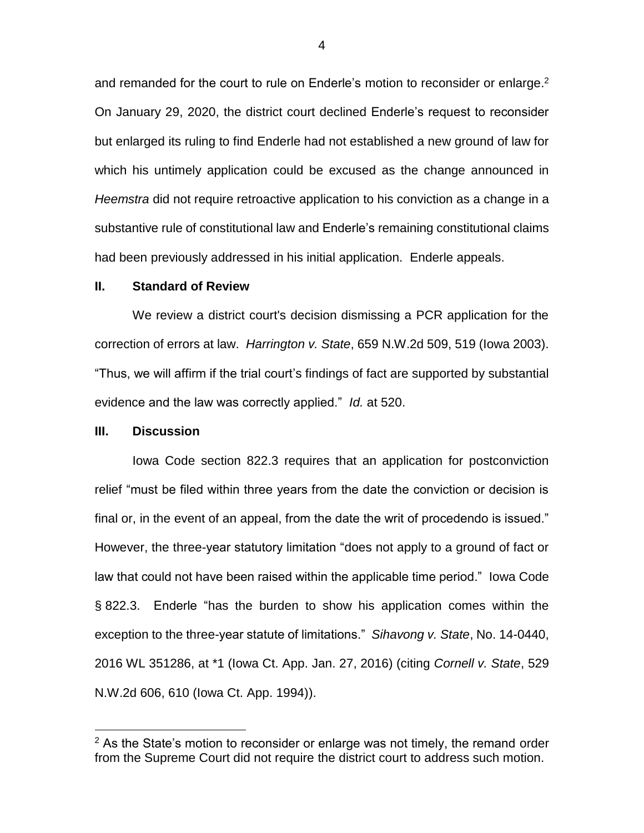and remanded for the court to rule on Enderle's motion to reconsider or enlarge.<sup>2</sup> On January 29, 2020, the district court declined Enderle's request to reconsider but enlarged its ruling to find Enderle had not established a new ground of law for which his untimely application could be excused as the change announced in *Heemstra* did not require retroactive application to his conviction as a change in a substantive rule of constitutional law and Enderle's remaining constitutional claims had been previously addressed in his initial application. Enderle appeals.

#### **II. Standard of Review**

We review a district court's decision dismissing a PCR application for the correction of errors at law. *Harrington v. State*, 659 N.W.2d 509, 519 (Iowa 2003). "Thus, we will affirm if the trial court's findings of fact are supported by substantial evidence and the law was correctly applied." *Id.* at 520.

### **III. Discussion**

 $\overline{a}$ 

Iowa Code section 822.3 requires that an application for postconviction relief "must be filed within three years from the date the conviction or decision is final or, in the event of an appeal, from the date the writ of procedendo is issued." However, the three-year statutory limitation "does not apply to a ground of fact or law that could not have been raised within the applicable time period." Iowa Code § 822.3. Enderle "has the burden to show his application comes within the exception to the three-year statute of limitations." *Sihavong v. State*, No. 14-0440, 2016 WL 351286, at \*1 (Iowa Ct. App. Jan. 27, 2016) (citing *Cornell v. State*, 529 N.W.2d 606, 610 (Iowa Ct. App. 1994)).

 $2$  As the State's motion to reconsider or enlarge was not timely, the remand order from the Supreme Court did not require the district court to address such motion.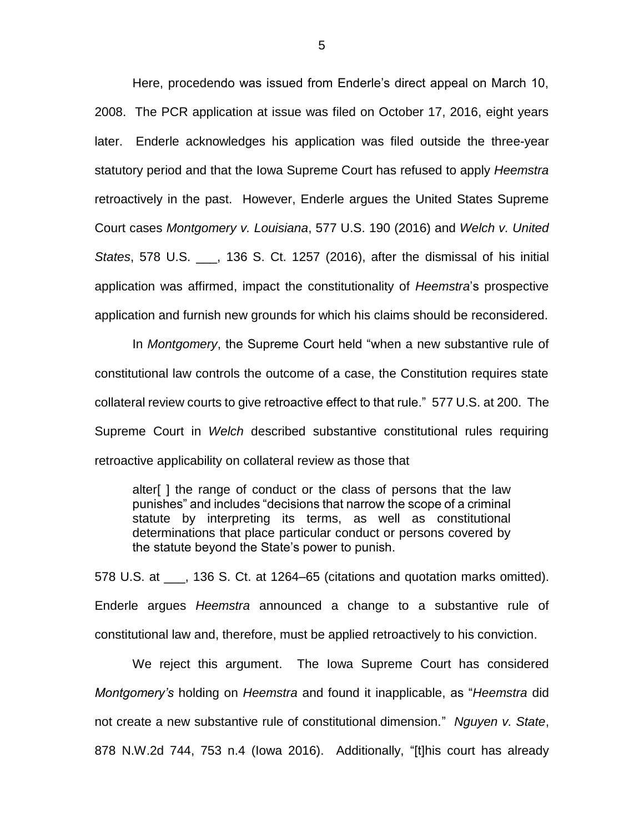Here, procedendo was issued from Enderle's direct appeal on March 10, 2008. The PCR application at issue was filed on October 17, 2016, eight years later. Enderle acknowledges his application was filed outside the three-year statutory period and that the Iowa Supreme Court has refused to apply *Heemstra* retroactively in the past. However, Enderle argues the United States Supreme Court cases *Montgomery v. Louisiana*, 577 U.S. 190 (2016) and *Welch v. United States*, 578 U.S. \_\_\_, 136 S. Ct. 1257 (2016), after the dismissal of his initial application was affirmed, impact the constitutionality of *Heemstra*'s prospective application and furnish new grounds for which his claims should be reconsidered.

In *Montgomery*, the Supreme Court held "when a new substantive rule of constitutional law controls the outcome of a case, the Constitution requires state collateral review courts to give retroactive effect to that rule." 577 U.S. at 200. The Supreme Court in *Welch* described substantive constitutional rules requiring retroactive applicability on collateral review as those that

alter[ ] the range of conduct or the class of persons that the law punishes" and includes "decisions that narrow the scope of a criminal statute by interpreting its terms, as well as constitutional determinations that place particular conduct or persons covered by the statute beyond the State's power to punish.

578 U.S. at \_\_\_, 136 S. Ct. at 1264–65 (citations and quotation marks omitted). Enderle argues *Heemstra* announced a change to a substantive rule of constitutional law and, therefore, must be applied retroactively to his conviction.

We reject this argument. The Iowa Supreme Court has considered *Montgomery's* holding on *Heemstra* and found it inapplicable, as "*Heemstra* did not create a new substantive rule of constitutional dimension." *Nguyen v. State*, 878 N.W.2d 744, 753 n.4 (Iowa 2016). Additionally, "[t]his court has already